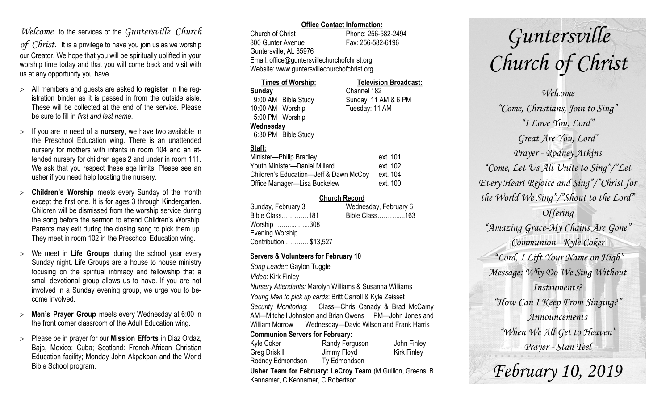# *Welcome* to the services of the *Guntersville Church*

*of Christ*. It is a privilege to have you join us as we worship our Creator. We hope that you will be spiritually uplifted in your worship time today and that you will come back and visit with us at any opportunity you have.

- All members and guests are asked to **register** in the registration binder as it is passed in from the outside aisle. These will be collected at the end of the service. Please be sure to fill in *first and last name*.
- $>$  If you are in need of a **nursery**, we have two available in the Preschool Education wing. There is an unattended nursery for mothers with infants in room 104 and an attended nursery for children ages 2 and under in room 111. We ask that you respect these age limits. Please see an usher if you need help locating the nursery.
- **Children's Worship** meets every Sunday of the month except the first one. It is for ages 3 through Kindergarten. Children will be dismissed from the worship service during the song before the sermon to attend Children's Worship. Parents may exit during the closing song to pick them up. They meet in room 102 in the Preschool Education wing.
- We meet in **Life Groups** during the school year every Sunday night. Life Groups are a house to house ministry focusing on the spiritual intimacy and fellowship that a small devotional group allows us to have. If you are not involved in a Sunday evening group, we urge you to become involved.
- **Men's Prayer Group** meets every Wednesday at 6:00 in the front corner classroom of the Adult Education wing.
- Please be in prayer for our **Mission Efforts** in Diaz Ordaz, Baja, Mexico; Cuba; Scotland: French-African Christian Education facility; Monday John Akpakpan and the World Bible School program.

### **Office Contact Information:**

Church of Christ Phone: 256-582-2494 800 Gunter Avenue Fax: 256-582-6196 Guntersville, AL 35976 Email: office@guntersvillechurchofchrist.org Website: www.guntersvillechurchofchrist.org

#### **Times of Worship: Television Broadcast: Sunday** Channel 182 9:00 AM Bible Study Sunday: 11 AM & 6 PM 10:00 AM Worship Tuesday: 11 AM 5:00 PM Worship **Wednesday**

6:30 PM Bible Study

## **Staff:**

| Minister-Philip Bradley                | ext. 101 |
|----------------------------------------|----------|
| Youth Minister-Daniel Millard          | ext. 102 |
| Children's Education-Jeff & Dawn McCoy | ext. 104 |
| Office Manager-Lisa Buckelew           | ext. 100 |

### **Church Record**

| Sunday, February 3     | Wednesday, February 6 |
|------------------------|-----------------------|
| Bible Class181         | Bible Class163        |
| Worship 308            |                       |
| Evening Worship        |                       |
| Contribution  \$13,527 |                       |
|                        |                       |

### **Servers & Volunteers for February 10**

*Song Leader:* Gaylon Tuggle *Video*: Kirk Finley *Nursery Attendants:* Marolyn Williams & Susanna Williams *Young Men to pick up cards*: Britt Carroll & Kyle Zeisset *Security Monitoring*: Class—Chris Canady & Brad McCamy AM—Mitchell Johnston and Brian Owens PM—John Jones and William Morrow Wednesday—David Wilson and Frank Harris **Communion Servers for February:**  Kyle Coker **Randy Ferguson** John Finley Greg Driskill **Jimmy Floyd** Kirk Finley Rodney Edmondson Ty Edmondson

**Usher Team for February: LeCroy Team** (M Gullion, Greens, B Kennamer, C Kennamer, C Robertson

# *Guntersville Church of Christ*

*Welcome "Come, Christians, Join to Sing" "I Love You, Lord" Great Are You, Lord' Prayer - Rodney Atkins "Come, Let Us All Unite to Sing"/"Let Every Heart Rejoice and Sing"/"Christ for the World We Sing"/"Shout to the Lord" Offering "Amazing Grace-My Chains Are Gone" Communion - Kyle Coker "Lord, I Lift Your Name on High" Message: Why Do We Sing Without Instruments? "How Can I Keep From Singing?" Announcements "When We All Get to Heaven" Prayer - Stan Teel*

*February 10, 2019*